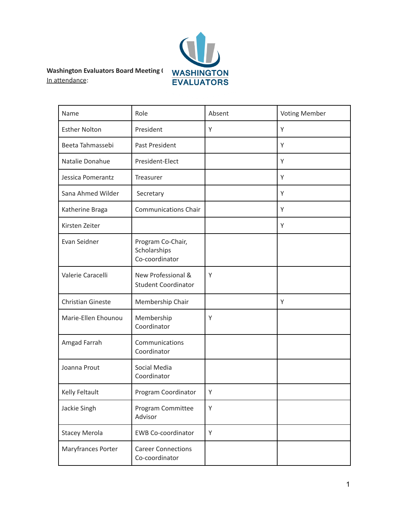

**Washington Evaluators Board Meeting <b>(** WASHINGTON In attendance:

| Name                     | Role                                                | Absent | <b>Voting Member</b> |
|--------------------------|-----------------------------------------------------|--------|----------------------|
| <b>Esther Nolton</b>     | President                                           | Υ      | Υ                    |
| Beeta Tahmassebi         | Past President                                      |        | Υ                    |
| Natalie Donahue          | President-Elect                                     |        | Υ                    |
| Jessica Pomerantz        | Treasurer                                           |        | Υ                    |
| Sana Ahmed Wilder        | Secretary                                           |        | Y                    |
| Katherine Braga          | <b>Communications Chair</b>                         |        | Y                    |
| Kirsten Zeiter           |                                                     |        | Y                    |
| Evan Seidner             | Program Co-Chair,<br>Scholarships<br>Co-coordinator |        |                      |
| Valerie Caracelli        | New Professional &<br><b>Student Coordinator</b>    | Υ      |                      |
| <b>Christian Gineste</b> | Membership Chair                                    |        | Y                    |
| Marie-Ellen Ehounou      | Membership<br>Coordinator                           | Υ      |                      |
| Amgad Farrah             | Communications<br>Coordinator                       |        |                      |
| Joanna Prout             | Social Media<br>Coordinator                         |        |                      |
| Kelly Feltault           | Program Coordinator                                 | Υ      |                      |
| Jackie Singh             | Program Committee<br>Advisor                        | Υ      |                      |
| <b>Stacey Merola</b>     | <b>EWB Co-coordinator</b>                           | Υ      |                      |
| Maryfrances Porter       | <b>Career Connections</b><br>Co-coordinator         |        |                      |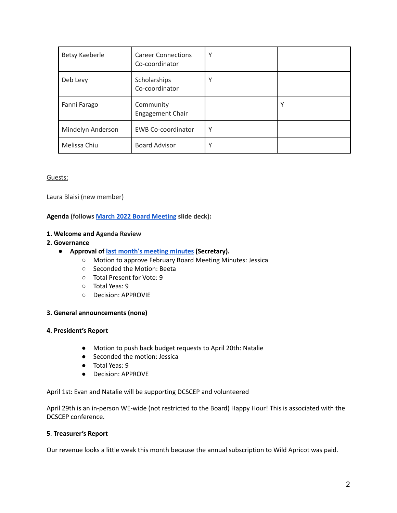| Betsy Kaeberle    | <b>Career Connections</b><br>Co-coordinator | ν            |   |
|-------------------|---------------------------------------------|--------------|---|
| Deb Levy          | Scholarships<br>Co-coordinator              | $\checkmark$ |   |
| Fanni Farago      | Community<br>Engagement Chair               |              | ν |
| Mindelyn Anderson | <b>EWB Co-coordinator</b>                   | Υ            |   |
| Melissa Chiu      | <b>Board Advisor</b>                        | ν            |   |

### Guests:

Laura Blaisi (new member)

**Agenda (follows March 2022 Board [Meeting](https://docs.google.com/presentation/d/1N3HSNdb4WoguVcwmH4OP6a2GVSL-BZt59zuLMeOczf4/edit) slide deck):**

#### **1. Welcome and Agenda Review**

#### **2. Governance**

- **Approval of last month's [meeting](https://washingtonevaluators.org/resources/Documents/BoardMinutes/2021/WE_Board_Meeting_20211117.pdf) minutes (Secretary).**
	- Motion to approve February Board Meeting Minutes: Jessica
	- Seconded the Motion: Beeta
	- Total Present for Vote: 9
	- Total Yeas: 9
	- Decision: APPROVIE

### **3. General announcements (none)**

### **4. President's Report**

- Motion to push back budget requests to April 20th: Natalie
- Seconded the motion: Jessica
- Total Yeas: 9
- Decision: APPROVE

April 1st: Evan and Natalie will be supporting DCSCEP and volunteered

April 29th is an in-person WE-wide (not restricted to the Board) Happy Hour! This is associated with the DCSCEP conference.

#### **5**. **Treasurer's Report**

Our revenue looks a little weak this month because the annual subscription to Wild Apricot was paid.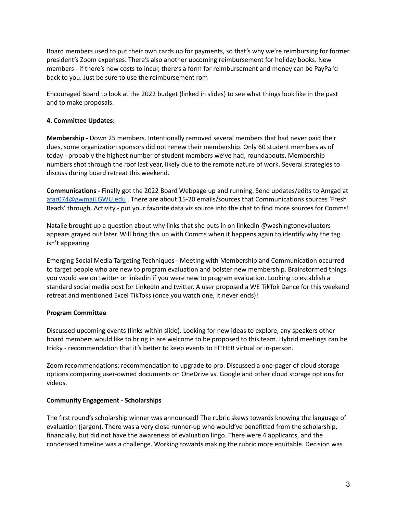Board members used to put their own cards up for payments, so that's why we're reimbursing for former president's Zoom expenses. There's also another upcoming reimbursement for holiday books. New members - if there's new costs to incur, there's a form for reimbursement and money can be PayPal'd back to you. Just be sure to use the reimbursement rom

Encouraged Board to look at the 2022 budget (linked in slides) to see what things look like in the past and to make proposals.

# **4. Committee Updates:**

**Membership -** Down 25 members. Intentionally removed several members that had never paid their dues, some organization sponsors did not renew their membership. Only 60 student members as of today - probably the highest number of student members we've had, roundabouts. Membership numbers shot through the roof last year, likely due to the remote nature of work. Several strategies to discuss during board retreat this weekend.

**Communications -** Finally got the 2022 Board Webpage up and running. Send updates/edits to Amgad at [afar074@gwmail.GWU.edu](mailto:afar074@gwmail.GWU.edu) . There are about 15-20 emails/sources that Communications sources 'Fresh Reads' through. Activity - put your favorite data viz source into the chat to find more sources for Comms!

Natalie brought up a question about why links that she puts in on linkedin @washingtonevaluators appears grayed out later. Will bring this up with Comms when it happens again to identify why the tag isn't appearing

Emerging Social Media Targeting Techniques - Meeting with Membership and Communication occurred to target people who are new to program evaluation and bolster new membership. Brainstormed things you would see on twitter or linkedin if you were new to program evaluation. Looking to establish a standard social media post for LinkedIn and twitter. A user proposed a WE TikTok Dance for this weekend retreat and mentioned Excel TikToks (once you watch one, it never ends)!

### **Program Committee**

Discussed upcoming events (links within slide). Looking for new ideas to explore, any speakers other board members would like to bring in are welcome to be proposed to this team. Hybrid meetings can be tricky - recommendation that it's better to keep events to EITHER virtual or in-person.

Zoom recommendations: recommendation to upgrade to pro. Discussed a one-pager of cloud storage options comparing user-owned documents on OneDrive vs. Google and other cloud storage options for videos.

### **Community Engagement - Scholarships**

The first round's scholarship winner was announced! The rubric skews towards knowing the language of evaluation (jargon). There was a very close runner-up who would've benefitted from the scholarship, financially, but did not have the awareness of evaluation lingo. There were 4 applicants, and the condensed timeline was a challenge. Working towards making the rubric more equitable. Decision was